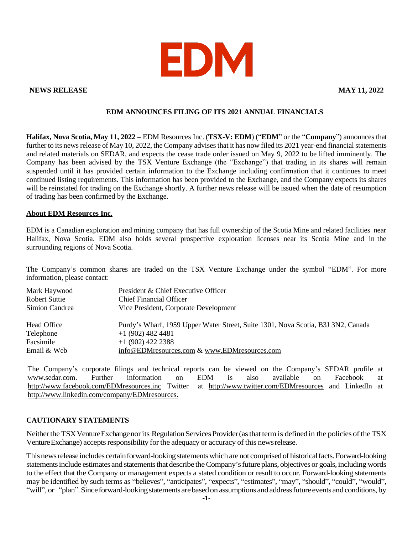

### **NEWS RELEASE MAY 11, 2022**

# **EDM ANNOUNCES FILING OF ITS 2021 ANNUAL FINANCIALS**

**Halifax, Nova Scotia, May 11, 2022 –** EDM Resources Inc. (**TSX-V: EDM**) ("**EDM**" or the "**Company**") announces that further to its news release of May 10, 2022, the Company advises that it has now filed its 2021 year-end financial statements and related materials on SEDAR, and expects the cease trade order issued on May 9, 2022 to be lifted imminently. The Company has been advised by the TSX Venture Exchange (the "Exchange") that trading in its shares will remain suspended until it has provided certain information to the Exchange including confirmation that it continues to meet continued listing requirements. This information has been provided to the Exchange, and the Company expects its shares will be reinstated for trading on the Exchange shortly. A further news release will be issued when the date of resumption of trading has been confirmed by the Exchange.

### **About EDM Resources Inc.**

EDM is a Canadian exploration and mining company that has full ownership of the Scotia Mine and related facilities near Halifax, Nova Scotia. EDM also holds several prospective exploration licenses near its Scotia Mine and in the surrounding regions of Nova Scotia.

The Company's common shares are traded on the TSX Venture Exchange under the symbol "EDM". For more information, please contact:

| Mark Haywood   | President & Chief Executive Officer                                              |
|----------------|----------------------------------------------------------------------------------|
| Robert Suttie  | <b>Chief Financial Officer</b>                                                   |
| Simion Candrea | Vice President, Corporate Development                                            |
| Head Office    | Purdy's Wharf, 1959 Upper Water Street, Suite 1301, Nova Scotia, B3J 3N2, Canada |
| Telephone      | $+1(902)$ 482 4481                                                               |
| Facsimile      | $+1(902)$ 422 2388                                                               |
| Email & Web    | info@EDMresources.com & www.EDMresources.com                                     |

The Company's corporate filings and technical reports can be viewed on the Company's SEDAR profile at [www.sedar.com.](http://www.sedar.com/) Further information on EDM is also available on Facebook at <http://www.facebook.com/EDMresources.inc> Twitter at <http://www.twitter.com/EDMresources> and LinkedIn at [http://www.linkedin.com/company/EDMresources.](http://www.linkedin.com/company/EDMresources)

## **CAUTIONARY STATEMENTS**

Neither the TSX Venture Exchangenor its Regulation Services Provider (as that term is defined in the policies of the TSX Venture Exchange) accepts responsibility for the adequacy or accuracy of this news release.

This news release includes certain forward-looking statements which are not comprised of historical facts. Forward-looking statements include estimates and statements that describe the Company's future plans, objectives or goals, including words to the effect that the Company or management expects a stated condition or result to occur. Forward-looking statements may be identified by such terms as "believes", "anticipates", "expects", "estimates", "may", "should", "could", "would", "will", or "plan". Since forward-looking statements are based on assumptions and address future events and conditions, by